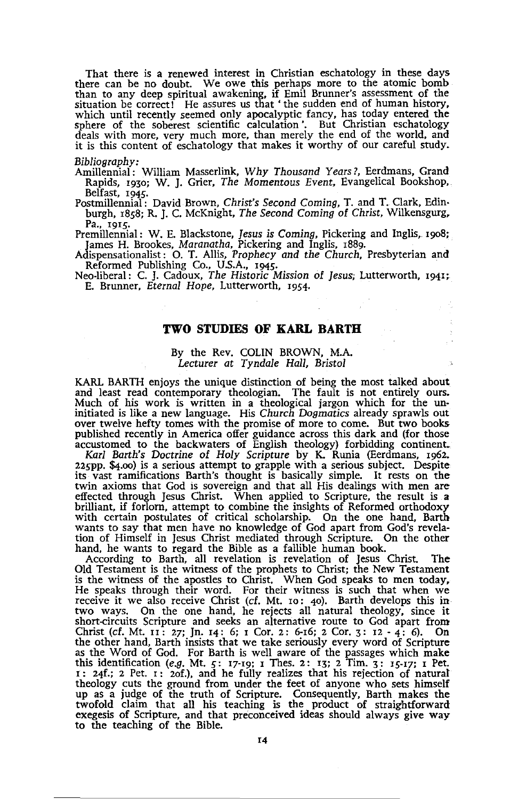That there is a renewed interest in Christian eschatology in these days there can be no doubt. We owe this perhaps more to the atomic bomb than to any deep spiritual awakening, if Emil Brunner's assessment of the situation be correct! He assures us that' the sudden end of human history, which until recently seemed only apocalyptic fancy, has today entered the sphere of the soberest scientific calculation '. But Christian eschatology deals with more, very much more, than merely the end of the world, and it is this content of eschatology that makes it worthy of our careful study.

#### *Bibliography:*

Amillennial: William Masserlink, *Why Thousand Years?,* Eerdmans, Grand Rapids, 1930; W. J. Grier, *The Momentous Event,* Evangelical Bookshop, Belfast, 1945.

Postmillennial: David Brown, Christ's Second Coming, T. and T. Clark, Edinburgh, 1858; R. J. C. McKnight, *The Second* Coming of *Christ,* Wilkensgurg, Pa., 1915.

Premillennial: W. E. Blackstone, *Jesus* is *Coming,* Pickering and Inglis, 1908;

James H. Brookes, *Maranatha,* Pickering and Inglis, 1889. Adispensationalist: O. T. Allis, *Prophecy and the Church,* Presbyterian and Reformed Publishing Co., US.A., 1945.

Neo·liberal: C. J. Cadoux, *The* Historic Mission of *Jesus;* Lutterworth, 1941; E. Brunner, *Eternal Hope,* Lutterworth, 1954.

# **TWO STUDIES OF KARL BARTH**

### By the Rev. COLIN BROWN, M.A. *Lecturer* at *Tyndale Hall, Bristol*

KARL BARTH enjoys the unique distinction of being the most talked about and least read contemporary theologian. The fault is not entirely ours.<br>Much of his work is written in a theological jargon which for the un-<br>initiated is like a new language. His Church Dogmatics already sprawls out<br>over published recently in America offer guidance across this dark and (for those accustomed to the backwaters of English theology) forbidding continent.

*Karl Barth's Doctrine* of *Holy Scripture* by K. Runia (Eerdmans, 1962. 225PP. \$4.00) is a serious attempt to grapple with a serious subject. Despite its vast ramifications Barth's thought is basically simple. It rests on the twin axioms that God is sovereign and that all His dealings with men are effected through Jesus Christ. When applied to Scripture, the result is a brilliant, if forlorn, attempt to combine the insights of Reformed orthodoxy with certain postulates of critical scholarship. On the one hand, Barth wants to say that men have no knowledge of God apart from God's revela-

tion of Himself in Jesus Christ mediated through Scripture. On the other<br>hand, he wants to regard the Bible as a fallible human book.<br>According to Barth, all revelation is revelation of Jesus Christ. The<br>Old Testament is t He speaks through their word. For their witness is such that when we receive it we also receive Christ (cf. Mt. 10: 40). Barth develops this in two ways. On the one hand, he rejects all natural theology, since it short-circuits Scripture and seeks an alternative route to God apart from Christ (cf. Mt. 11: 27; Jn. 14: 6; 1 Cor. 2: 6-16; 2 Cor. 3: 12 - 4: 6). On the other hand, Barth insists that we take seriously every word of Scripture as the Word of God. For Barth is well aware of the passages which make this identification *(e.g. N*t. 5: 17-19; I Thes. 2: 13; 2 Tim. 3: 15-17; I Pet. 1: 24f.; 2 Pet. 1: 20f.), and he fully realizes that his rejection of natural theology cuts the ground from under the feet of anyone who sets himself up as a judge of the truth of Scripture. Consequently, Barth makes the twofold claim that all his teaching is the product of straightforward exegesis of Scripture, and that preconceived ideas should always give way to the teaching of the Bible.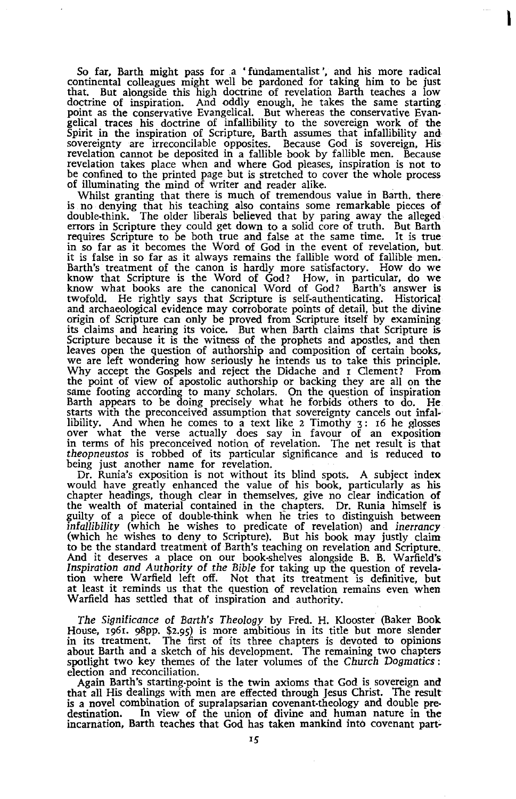So far, Barth might pass for a • fundamentalist', and his more radical continental colleagues might well be pardoned for taking him to be just that. But alongside this high doctrine of revelation Barth teaches a low doctrine of inspiration. And oddly enough, he takes the same starting<br>point as the conservative Evangelical. But whereas the conservative Evangelical traces his doctrine of infallibility to the sovereign work of the<br>Spirit revelation takes place when and where God pleases, inspiration is not to be confined to the printed page but is stretched to cover the whole process of illuminating the mind of writer and reader alike.

Whilst granting that there is much of tremendous value in Barth. there is no denying that his teaching also contains some remarkable pieces of double-think. The older liberals believed that by paring away the alleged errors in Scripture they could get down to a solid core of truth. But Barth requires Scripture to be both true and false at the same time. It is true in so far as it becomes the Word of God in the event of revelation, but it is false in so far as it always remains the fallible word of fallible men. Barth's treatment of the canon is hardly more satisfactory. How do we know that Scripture is the Word of God? How, in particular, do we know what books are the canonical Word of God? Barth's answer is twofold. He rightly says that Scripture is self-authenticating. Historical and archaeological evidence may corroborate points of detail, but the divine origin of Scripture can only be proved from Scripture itself by examining its claims and hearing its voice. But when Barth claims that Scripture is Scripture because it is the witness of the prophets and apostles, and then leaves open the question of authorship and composition of certain books, we are left wondering how seriously he intends us to take this principle. Why accept the Gospels and reject the Didache and 1 Clement? From the point of view of apostolic authorship or backing they are all on the same footing according to many scholars. On the question of inspiration Barth appears to be doing precisely what he forbids others to do. He starts with the preconceived assumption that sovereignty cancels out infallibility. And when he comes to a text like 2 Timothy 3: 16 he glosses over what the verse actually does say in favour of an exposition in terms of his preconceived notion of revelation. The net result is that theopneustos is robbed of its particular significance and is reduced to being just another name for revelation.

Dr. Runia's exposition is not without its blind spots. A subject index would have greatly enhanced the value of his book, particularly as his chapter headings, though clear in themselves, give no clear indication of the we infallibility (which he wishes to predicate of revelation) and inerrancy (which he wishes to deny. to Scripture). But his book may justly claim to be the standard treatment of Barth's teaching on revelation and Scripture. And it deserves a place on our book-shelves alongside B. B. Warfield's Inspiration and Authority of the Bible for taking up the question of revelation where Warfield left off. Not that its treatment is definitive, but at least it reminds us that the question of revelation remains even when Warfield has settled that of inspiration and authority.

The Significance of Barth's Theology by Fred. H. Klooster (Baker Book House, 1961. 98pP. \$2.95) is more ambitious in its title but more slender in its treatment. The first of its three chapters is devoted to opinions about Barth and a sketch of his development. The remaining two chapters spotlight two key themes of the later volumes of the Church Dogmatics: election and reconciliation.

Again Barth's starting-point is the twin axioms that God is sovereign and that all His dealings with men are effected through Jesus Christ. The result is a novel combination of supralapsarian covenant-theology and double pre-<br>destination. In view of the union of divine and human nature in the<br>incarnation, Barth teaches that God has taken mankind into covenant part